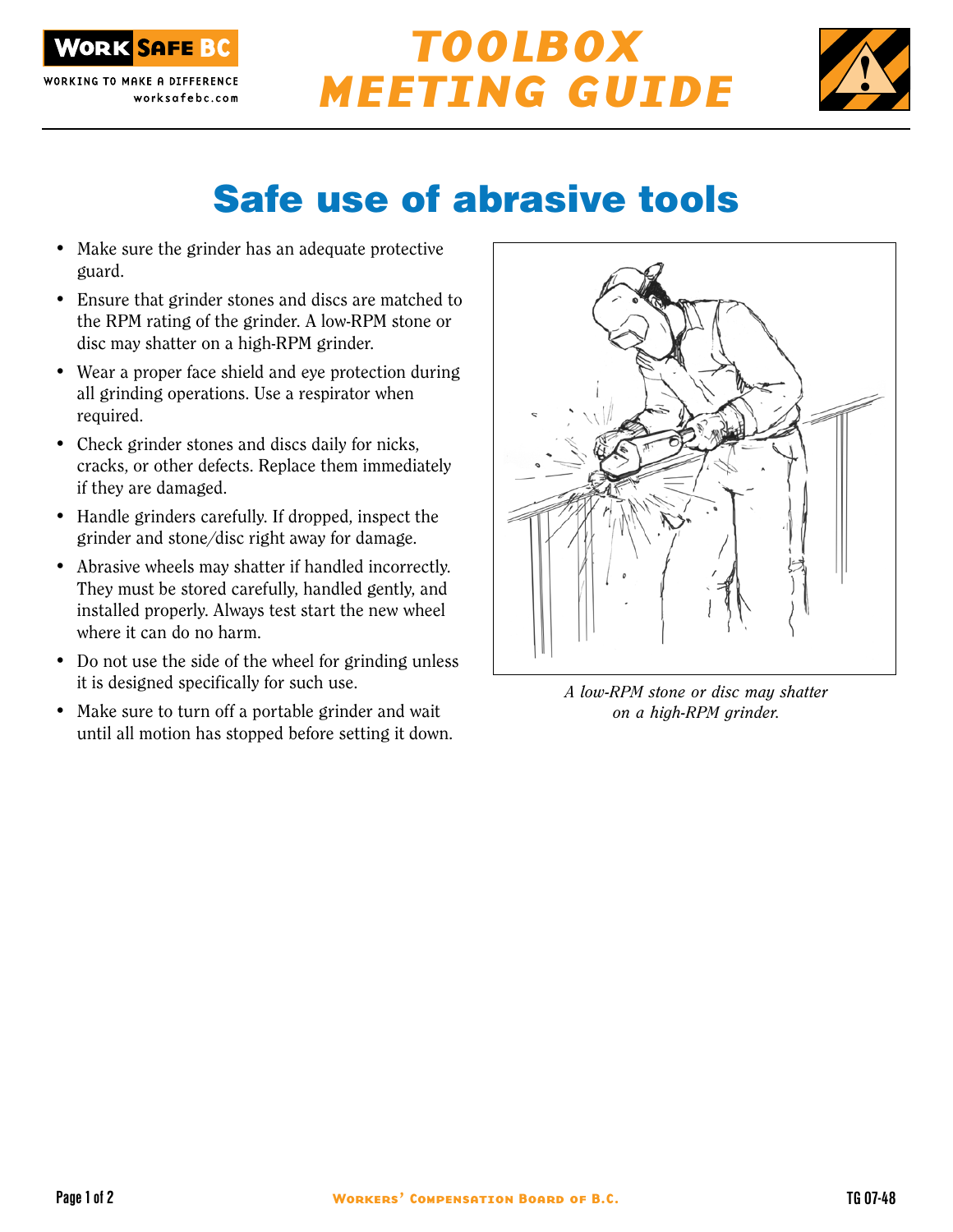

WORKING TO MAKE A DIFFERENCE worksafebc.com

## TOOLBOX MEETING GUIDE



## Safe use of abrasive tools

- Make sure the grinder has an adequate protective guard.
- Ensure that grinder stones and discs are matched to the RPM rating of the grinder. A low-RPM stone or disc may shatter on a high-RPM grinder.
- Wear a proper face shield and eye protection during all grinding operations. Use a respirator when required.
- Check grinder stones and discs daily for nicks, cracks, or other defects. Replace them immediately if they are damaged.
- Handle grinders carefully. If dropped, inspect the grinder and stone/disc right away for damage.
- Abrasive wheels may shatter if handled incorrectly. They must be stored carefully, handled gently, and installed properly. Always test start the new wheel where it can do no harm.
- Do not use the side of the wheel for grinding unless it is designed specifically for such use.
- Make sure to turn off a portable grinder and wait until all motion has stopped before setting it down.



A low-RPM stone or disc may shatter on a high-RPM grinder.